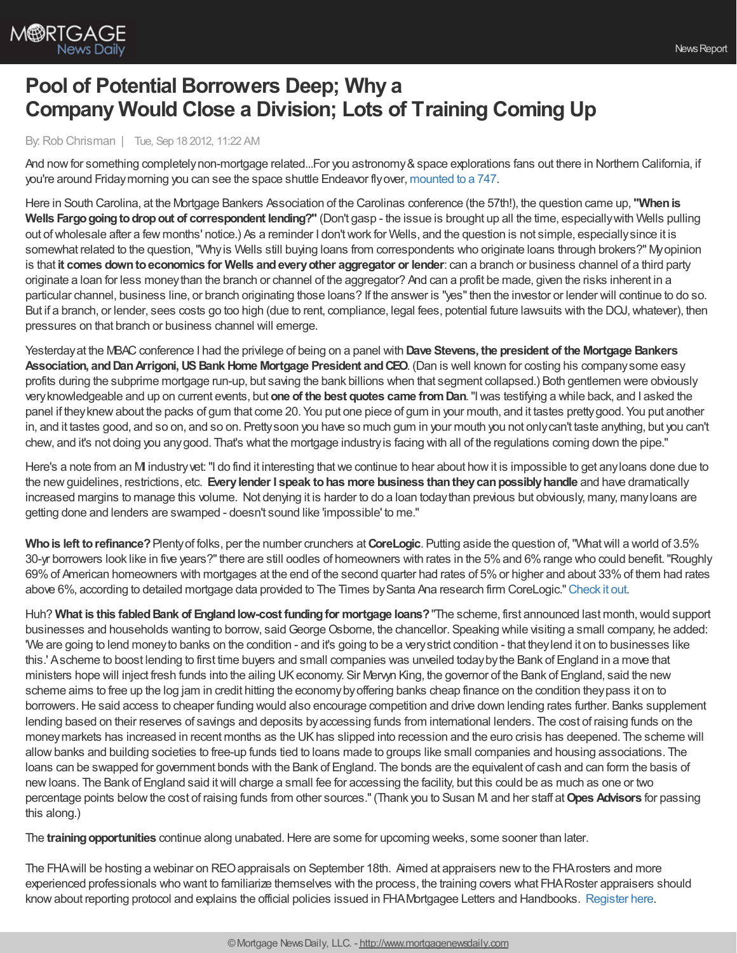

## **Pool of Potential Borrowers Deep; Why a Company Would Close a Division; Lots of Training Coming Up**

By:Rob Chrisman | Tue, Sep 18 2012, 11:22 AM

And now for something completely non-mortgage related...For you astronomy & space explorations fans out there in Northern California, if you're around Friday morning you can see the space shuttle Endeavor flyover, [mounted](http://www.nasa.gov/centers/ames/events/2012/9.20.12_Shuttle_Endeavour.html) to a 747.

Here in South Carolina, at the Mortgage Bankers Association of the Carolinas conference (the 57th!), the question came up, **"Whenis Wells Fargogoingtodropout of correspondent lending?"** (Don't gasp - the issue is brought up all the time, especiallywith Wells pulling out ofwholesale after a few months' notice.) As a reminder I don'twork for Wells, and the question is not simple, especiallysince it is somewhat related to the question,"Whyis Wells still buying loans from correspondents who originate loans through brokers?" Myopinion is that **it comes downtoeconomics for Wells andeveryother aggregator or lender**: can a branch or business channel of a third party originate a loan for less moneythan the branch or channel of the aggregator? And can a profit be made, given the risks inherent in a particular channel, business line, or branch originating those loans? If the answer is "yes"then the investor or lender will continue to do so. But if a branch, or lender, sees costs go too high (due to rent, compliance, legal fees, potential future lawsuits with the DOJ,whatever), then pressures on that branch or business channel will emerge.

Yesterdayat the MBACconference I had the privilege of being on a panel with **Dave Stevens, the president of the Mortgage Bankers Association, andDanArrigoni,USBank Home Mortgage President andCEO**. (Dan is well known for costing his companysome easy profits during the subprime mortgage run-up, but saving the bank billions when that segment collapsed.) Both gentlemen were obviously veryknowledgeable and up on current events, but **one of the best quotes came fromDan**."Iwas testifying a while back, and I asked the panel if theyknewabout the packs of gum that come 20. You put one piece of gum in your mouth, and it tastes prettygood. You put another in, and it tastes good, and so on, and so on. Prettysoon you have so much gum in your mouth you not onlycan't taste anything, but you can't chew, and it's not doing you anygood. That's what the mortgage industryis facing with all of the regulations coming down the pipe."

Here's a note from an MI industry vet: "I do find it interesting that we continue to hear about how it is impossible to get any loans done due to the newguidelines, restrictions, etc. **Everylender I speak tohas more business thantheycanpossiblyhandle** and have dramatically increased margins to manage this volume. Not denying it is harder to do a loan todaythan previous but obviously, many, manyloans are getting done and lenders are swamped - doesn't sound like 'impossible' to me."

**Whois left torefinance?**Plentyof folks, per the number crunchers at**CoreLogic**. Putting aside the question of,"Whatwill a world of 3.5% 30-yr borrowers look like in five years?"there are still oodles of homeowners with rates in the 5%and 6%range who could benefit."Roughly 69%of American homeowners with mortgages at the end of the second quarter had rates of 5%or higher and about 33%of them had rates above 6%, according to detailed mortgage data provided to The Times by Santa Ana research firm CoreLogic." [Check](http://www.latimes.com/business/realestate/la-fi-underwater-loans-20120918,0,1406304.story) it out.

Huh? **What is this fabledBank of Englandlow-cost fundingfor mortgage loans?**"The scheme, first announced last month,would support businesses and households wanting to borrow, said George Osborne, the chancellor. Speaking while visiting a small company, he added: 'We are going to lend moneyto banks on the condition - and it's going to be a verystrict condition - that theylend it on to businesses like this.' Ascheme to boost lending to first time buyers and small companies was unveiled todaybythe Bank of England in a move that ministers hope will inject fresh funds into the ailing UKeconomy. Sir Mervyn King, the governor of the Bank of England, said the new scheme aims to free up the log jam in credit hitting the economybyoffering banks cheap finance on the condition theypass it on to borrowers.He said access to cheaper funding would also encourage competition and drive down lending rates further. Banks supplement lending based on their reserves of savings and deposits byaccessing funds from international lenders. The cost of raising funds on the moneymarkets has increased in recent months as the UKhas slipped into recession and the euro crisis has deepened. The scheme will allowbanks and building societies to free-up funds tied to loans made to groups like small companies and housing associations. The loans can be swapped for government bonds with the Bank of England. The bonds are the equivalent of cash and can form the basis of newloans. The Bank of England said itwill charge a small fee for accessing the facility, but this could be as much as one or two percentage points belowthe cost of raising funds from other sources."(Thank you to Susan M. and her staff at**Opes Advisors** for passing this along.)

The **training opportunities** continue along unabated. Here are some for upcoming weeks, some sooner than later.

The FHAwill be hosting a webinar on REOappraisals on September 18th. Aimed at appraisers newto the FHArosters and more experienced professionals who want to familiarize themselves with the process, the training covers what FHARoster appraisers should knowabout reporting protocol and explains the official policies issued in FHAMortgagee Letters and Handbooks. [Register](http://www.hud.gov/emarc/index.cfm?fuseaction=emar.registerEvent&eventId=1488&update=N) here.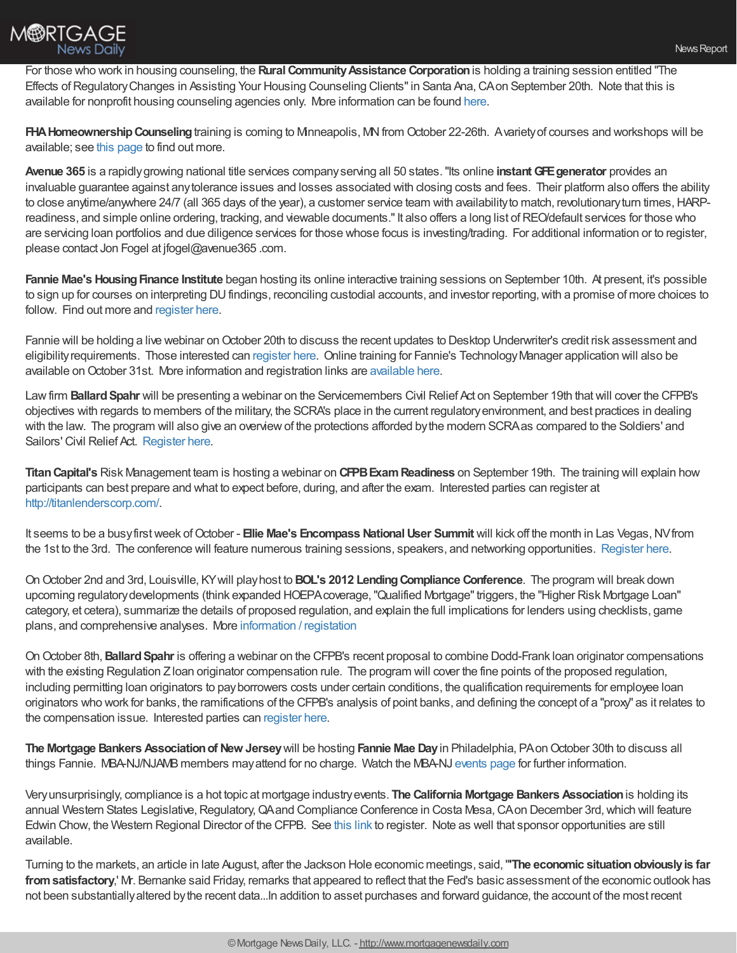

For those who work in housing counseling, the Rural Community Assistance Corporation is holding a training session entitled "The Effects of Regulatory Changes in Assisting Your Housing Counseling Clients" in Santa Ana, CA on September 20th. Note that this is available for nonprofit housing counseling agencies only. More information can be found [here](http://www.rcac.org/doc.aspx?994).

**FHAHomeownershipCounseling**training is coming to Minneapolis, MNfrom October 22-26th. Avarietyof courses and workshops will be available; see this [page](http://training.nw5.org/schol_event?event=529) to find out more.

**Avenue 365** is a rapidlygrowing national title services companyserving all 50 states."Its online **instantGFEgenerator** provides an invaluable guarantee against anytolerance issues and losses associated with closing costs and fees. Their platform also offers the ability to close anytime/anywhere 24/7 (all 365 days of the year), a customer service team with availability to match, revolutionary turn times, HARPreadiness, and simple online ordering, tracking, and viewable documents." It also offers a long list of REO/default services for those who are servicing loan portfolios and due diligence services for those whose focus is investing/trading. For additional information or to register, please contact Jon Fogel at jfogel@avenue365 .com.

**Fannie Mae's Housing Finance Institute** began hosting its online interactive training sessions on September 10th. At present, it's possible to sign up for courses on interpreting DUfindings, reconciling custodial accounts, and investor reporting,with a promise of more choices to follow. Find out more and [register](https://www.efanniemae.com/lc/hfindepth.jsp) here.

Fannie will be holding a live webinar on October 20th to discuss the recent updates to Desktop Underwriter's credit risk assessment and eligibilityrequirements. Those interested can [register](https://fanniemae.webex.com/mw0306lc/mywebex/default.do?nomenu=true&siteurl=fanniemae&service=6&main_url=https%253A%252F%252Ffanniemae.webex.com%252Fec0605lc%252Feventcenter%252Fprogram%252FprogramDetail.do%253FtheAction%253Ddetail%2526siteurl%253Dfanniemae%2526cProgViewID%253D123) here. Online training for Fannie's TechnologyManager application will also be [available](https://fanniemae.webex.com/mw0306lc/mywebex/default.do?nomenu=true&siteurl=fanniemae&service=6&main_url=https%253A%252F%252Ffanniemae.webex.com%252Fec0605lc%252Feventcenter%252Fprogram%252FprogramDetail.do%253FtheAction%253Ddetail%2526siteurl%253Dfanniemae%2526cProgViewID%253D20) on October 31st. More information and registration links are available here.

Law firm **Ballard Spahr** will be presenting a webinar on the Servicemembers Civil Relief Act on September 19th that will cover the CFPB's objectives with regards to members of the military, the SCRA's place in the current regulatoryenvironment, and best practices in dealing with the law. The program will also give an overviewof the protections afforded bythe modern SCRAas compared to the Soldiers' and Sailors' Civil Relief Act. [Register](http://info.ballardspahr.com/Reaction/rsgenpage.asp?RSID=hawGyv1E6ePSdhfIthXBjzUTMaUGUlbHHL-5nAaIbrA) here.

**Titan Capital's** Risk Management team is hosting a webinar on **CFPB Exam Readiness** on September 19th. The training will explain how participants can best prepare and what to expect before, during, and after the exam. Interested parties can register at <http://titanlenderscorp.com/>.

It seems to be a busyfirstweek ofOctober - **Ellie Mae's Encompass NationalUser Summit** will kick off the month in Las Vegas,NVfrom the 1st to the 3rd. The conference will feature numerous training sessions, speakers, and networking opportunities. [Register](http://www.experience2012.com/home.html?utm_source=summit&utm_medium=banner&utm_campaign=EMbillboardregnow) here.

OnOctober 2nd and 3rd, Louisville, KYwill playhost to **BOL's 2012 LendingCompliance Conference**. The program will break down upcoming regulatorydevelopments (think expanded HOEPAcoverage,"Qualified Mortgage"triggers, the "Higher Risk Mortgage Loan" category, et cetera), summarize the details of proposed regulation, and explain the full implications for lenders using checklists, game plans, and comprehensive analyses. More [information](https://www.bolconferences.com/lct2012/) / registation

OnOctober 8th,**BallardSpahr** is offering a webinar on the CFPB's recent proposal to combine Dodd-Frank loan originator compensations with the existing Regulation Z loan originator compensation rule. The program will cover the fine points of the proposed regulation, including permitting loan originators to pay borrowers costs under certain conditions, the qualification requirements for employee loan originators who work for banks, the ramifications of the CFPB's analysis of point banks, and defining the concept of a "proxy" as it relates to the compensation issue. Interested parties can [register](http://info.ballardspahr.com/Reaction/rsgenpage.asp?RSID=cxTPlB54I9JXF9NTrtKEcK47B5xyKQaAapGThwfdLO0) here.

**The Mortgage Bankers Associationof New Jersey**will be hosting **Fannie Mae Day**in Philadelphia, PAonOctober 30th to discuss all things Fannie. MBA-NJ/NJAMB members may attend for no charge. Watch the MBA-NJ [events](http://www.cmba.com/new/brochures/LegRegMQAC12Spon.pdf) page for further information.

Veryunsurprisingly, compliance is a hot topic at mortgage industryevents. **The California Mortgage Bankers Association**is holding its annual Western States Legislative, Regulatory, QAand Compliance Conference in Costa Mesa, CAon December 3rd, which will feature Edwin Chow, the Western Regional Director of the CFPB. See this [link](http://www.cmba.com/new/brochures/LegRegMQAC12Reg.pdf) to register. Note as well that sponsor opportunities are still available.

Turning to the markets, an article in late August, after the Jackson Hole economic meetings, said,"**'The economic situationobviouslyis far** from satisfactory,' Mr. Bernanke said Friday, remarks that appeared to reflect that the Fed's basic assessment of the economic outlook has not been substantiallyaltered bythe recent data...In addition to asset purchases and forward guidance, the account of the most recent